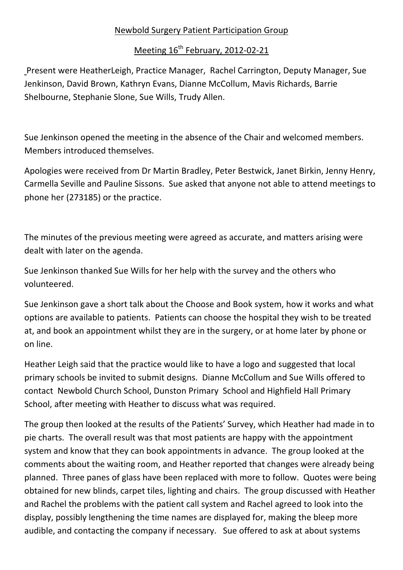## Newbold Surgery Patient Participation Group

## Meeting 16<sup>th</sup> February, 2012-02-21

Present were HeatherLeigh, Practice Manager, Rachel Carrington, Deputy Manager, Sue Jenkinson, David Brown, Kathryn Evans, Dianne McCollum, Mavis Richards, Barrie Shelbourne, Stephanie Slone, Sue Wills, Trudy Allen.

Sue Jenkinson opened the meeting in the absence of the Chair and welcomed members. Members introduced themselves.

Apologies were received from Dr Martin Bradley, Peter Bestwick, Janet Birkin, Jenny Henry, Carmella Seville and Pauline Sissons. Sue asked that anyone not able to attend meetings to phone her (273185) or the practice.

The minutes of the previous meeting were agreed as accurate, and matters arising were dealt with later on the agenda.

Sue Jenkinson thanked Sue Wills for her help with the survey and the others who volunteered.

Sue Jenkinson gave a short talk about the Choose and Book system, how it works and what options are available to patients. Patients can choose the hospital they wish to be treated at, and book an appointment whilst they are in the surgery, or at home later by phone or on line.

Heather Leigh said that the practice would like to have a logo and suggested that local primary schools be invited to submit designs. Dianne McCollum and Sue Wills offered to contact Newbold Church School, Dunston Primary School and Highfield Hall Primary School, after meeting with Heather to discuss what was required.

The group then looked at the results of the Patients' Survey, which Heather had made in to pie charts. The overall result was that most patients are happy with the appointment system and know that they can book appointments in advance. The group looked at the comments about the waiting room, and Heather reported that changes were already being planned. Three panes of glass have been replaced with more to follow. Quotes were being obtained for new blinds, carpet tiles, lighting and chairs. The group discussed with Heather and Rachel the problems with the patient call system and Rachel agreed to look into the display, possibly lengthening the time names are displayed for, making the bleep more audible, and contacting the company if necessary. Sue offered to ask at about systems